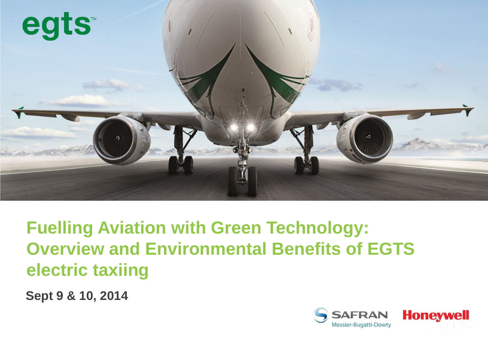

**Fuelling Aviation with Green Technology: Overview and Environmental Benefits of EGTS electric taxiing**

**Sept 9 & 10, 2014** 

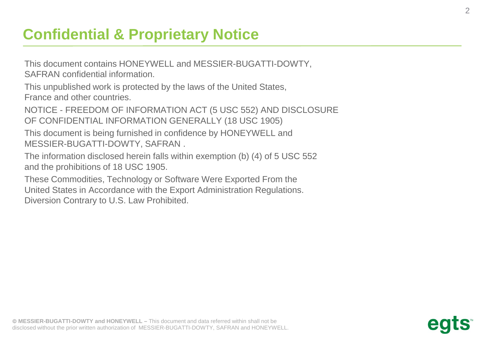## **Confidential & Proprietary Notice**

This document contains HONEYWELL and MESSIER-BUGATTI-DOWTY, SAFRAN confidential information.

This unpublished work is protected by the laws of the United States, France and other countries.

NOTICE - FREEDOM OF INFORMATION ACT (5 USC 552) AND DISCLOSURE OF CONFIDENTIAL INFORMATION GENERALLY (18 USC 1905)

This document is being furnished in confidence by HONEYWELL and MESSIER-BUGATTI-DOWTY, SAFRAN .

The information disclosed herein falls within exemption (b) (4) of 5 USC 552 and the prohibitions of 18 USC 1905.

These Commodities, Technology or Software Were Exported From the United States in Accordance with the Export Administration Regulations. Diversion Contrary to U.S. Law Prohibited.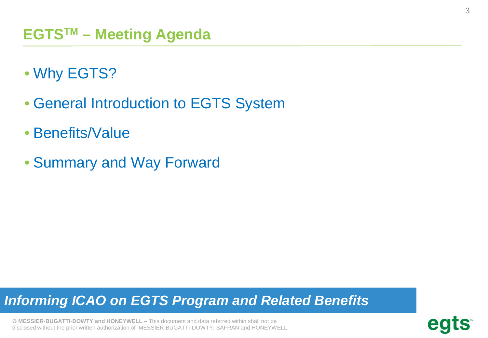- Why EGTS?
- General Introduction to EGTS System
- Benefits/Value
- Summary and Way Forward

## *Informing ICAO on EGTS Program and Related Benefits*

$$
\operatorname{\mathbf{egts}}^{\scriptscriptstyle\!\!\!\!\!\!\!\!\!\!\!\!\ {}^{\scriptscriptstyle\mathsf{m}}}
$$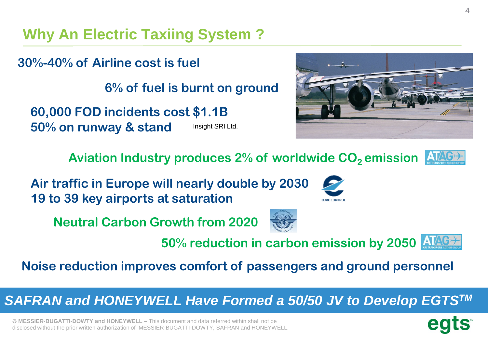**Why An Electric Taxiing System ?**

**30%-40% of Airline cost is fuel**

**6% of fuel is burnt on ground**

**60,000 FOD incidents cost \$1.1B 50% on runway & stand Insight SRI Ltd.** 

Aviation Industry produces 2% of worldwide CO<sub>2</sub> emission

**Air traffic in Europe will nearly double by 2030 19 to 39 key airports at saturation**

**Neutral Carbon Growth from 2020**



**50% reduction in carbon emission by 2050**

**EUROCONTRO** 

**Noise reduction improves comfort of passengers and ground personnel**

*SAFRAN and HONEYWELL Have Formed a 50/50 JV to Develop EGTSTM*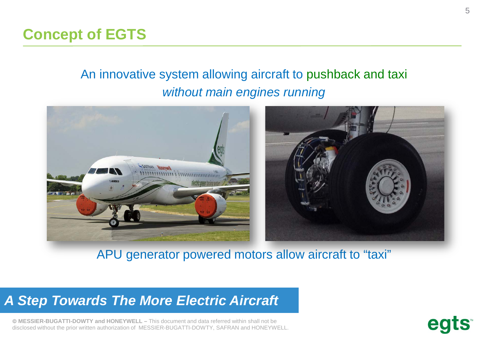## **Concept of EGTS**

## An innovative system allowing aircraft to pushback and taxi *without main engines running*



APU generator powered motors allow aircraft to "taxi"

#### *A Step Towards The More Electric Aircraft*

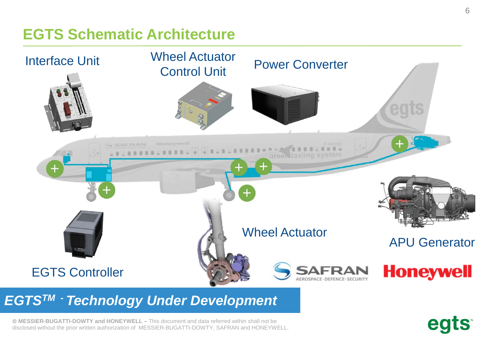## **EGTS Schematic Architecture**



### *EGTSTM - Technology Under Development*

 **MESSIER-BUGATTI-DOWTY and HONEYWELL –** This document and data referred within shall not be disclosed without the prior written authorization of MESSIER-BUGATTI-DOWTY, SAFRAN and HONEYWELL. egts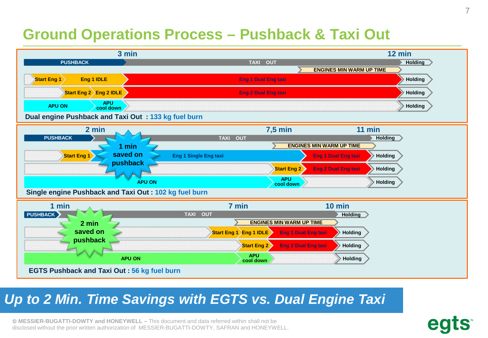## **Ground Operations Process – Pushback & Taxi Out**



## *Up to 2 Min. Time Savings with EGTS vs. Dual Engine Taxi*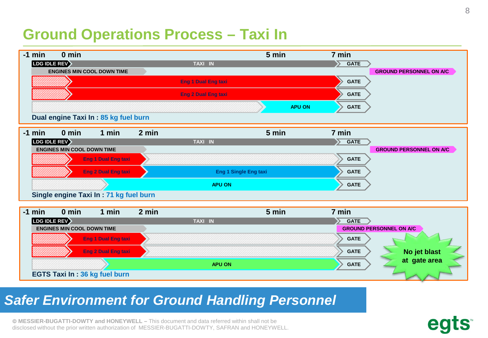## **Ground Operations Process – Taxi In**



#### *Safer Environment for Ground Handling Personnel*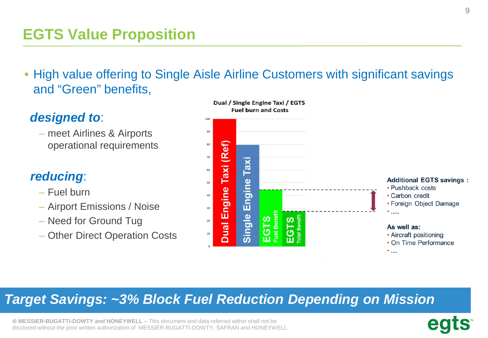## **EGTS Value Proposition**

• High value offering to Single Aisle Airline Customers with significant savings and "Green" benefits,

#### *designed to*:

– meet Airlines & Airports operational requirements

#### *reducing*:

- Fuel burn
- Airport Emissions / Noise
- Need for Ground Tug
- Other Direct Operation Costs



#### *Target Savings: ~3% Block Fuel Reduction Depending on Mission*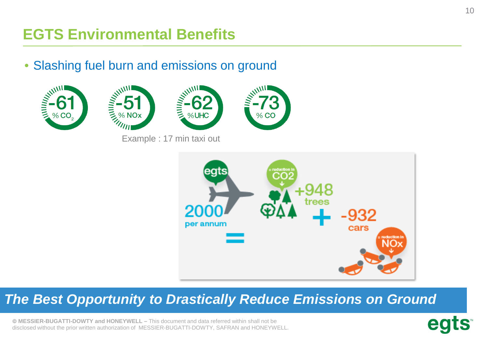# **EGTS Environmental Benefits**

• Slashing fuel burn and emissions on ground









Example : 17 min taxi out



## *The Best Opportunity to Drastically Reduce Emissions on Ground*

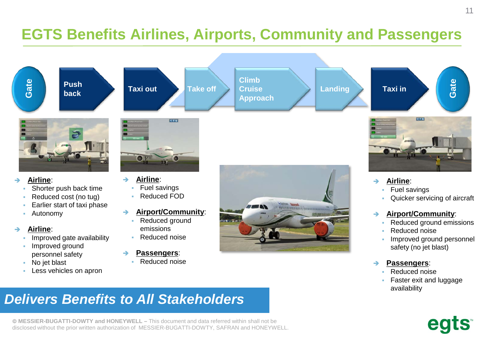## **EGTS Benefits Airlines, Airports, Community and Passengers**



- **Airline**:
	- Improved gate availability
	- **Improved ground** personnel safety
	- No jet blast
	- Less vehicles on apron
- emissions
- Reduced noise

#### **Passengers**:

Reduced noise



- 
- **Passengers**:
	- Reduced noise
	- Faster exit and luggage availability

safety (no jet blast)

Improved ground personnel

## *Delivers Benefits to All Stakeholders*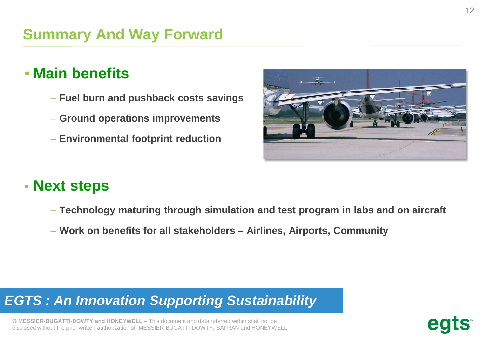## • **Main benefits**

- **Fuel burn and pushback costs savings**
- **Ground operations improvements**
- **Environmental footprint reduction**

## • **Next steps**

- **Technology maturing through simulation and test program in labs and on aircraft**
- **Work on benefits for all stakeholders – Airlines, Airports, Community**

## *EGTS : An Innovation Supporting Sustainability*